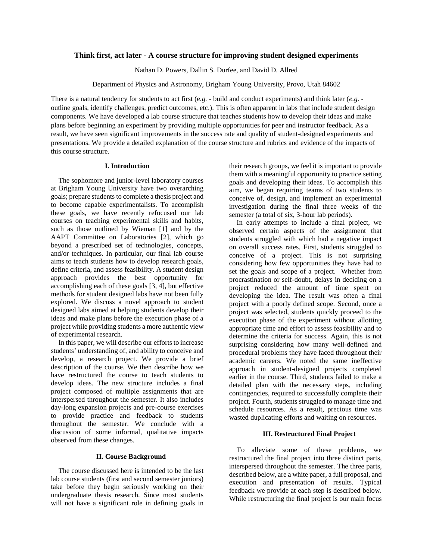# **Think first, act later - A course structure for improving student designed experiments**

Nathan D. Powers, Dallin S. Durfee, and David D. Allred

Department of Physics and Astronomy, Brigham Young University, Provo, Utah 84602

There is a natural tendency for students to act first (e*.g. -* build and conduct experiments) and think later (*e.g.*  outline goals, identify challenges, predict outcomes, etc.). This is often apparent in labs that include student design components. We have developed a lab course structure that teaches students how to develop their ideas and make plans before beginning an experiment by providing multiple opportunities for peer and instructor feedback. As a result, we have seen significant improvements in the success rate and quality of student-designed experiments and presentations. We provide a detailed explanation of the course structure and rubrics and evidence of the impacts of this course structure.

### **I. Introduction**

The sophomore and junior-level laboratory courses at Brigham Young University have two overarching goals; prepare students to complete a thesis project and to become capable experimentalists. To accomplish these goals, we have recently refocused our lab courses on teaching experimental skills and habits, such as those outlined by Wieman [1] and by the AAPT Committee on Laboratories [2], which go beyond a prescribed set of technologies, concepts, and/or techniques. In particular, our final lab course aims to teach students how to develop research goals, define criteria, and assess feasibility. A student design approach provides the best opportunity for accomplishing each of these goals [3, 4], but effective methods for student designed labs have not been fully explored. We discuss a novel approach to student designed labs aimed at helping students develop their ideas and make plans before the execution phase of a project while providing students a more authentic view of experimental research.

In this paper, we will describe our efforts to increase students' understanding of, and ability to conceive and develop, a research project. We provide a brief description of the course. We then describe how we have restructured the course to teach students to develop ideas. The new structure includes a final project composed of multiple assignments that are interspersed throughout the semester. It also includes day-long expansion projects and pre-course exercises to provide practice and feedback to students throughout the semester. We conclude with a discussion of some informal, qualitative impacts observed from these changes.

# **II. Course Background**

The course discussed here is intended to be the last lab course students (first and second semester juniors) take before they begin seriously working on their undergraduate thesis research. Since most students will not have a significant role in defining goals in their research groups, we feel it is important to provide them with a meaningful opportunity to practice setting goals and developing their ideas. To accomplish this aim, we began requiring teams of two students to conceive of, design, and implement an experimental investigation during the final three weeks of the semester (a total of six, 3-hour lab periods).

In early attempts to include a final project, we observed certain aspects of the assignment that students struggled with which had a negative impact on overall success rates. First, students struggled to conceive of a project. This is not surprising considering how few opportunities they have had to set the goals and scope of a project. Whether from procrastination or self-doubt, delays in deciding on a project reduced the amount of time spent on developing the idea. The result was often a final project with a poorly defined scope. Second, once a project was selected, students quickly proceed to the execution phase of the experiment without allotting appropriate time and effort to assess feasibility and to determine the criteria for success. Again, this is not surprising considering how many well-defined and procedural problems they have faced throughout their academic careers. We noted the same ineffective approach in student-designed projects completed earlier in the course. Third, students failed to make a detailed plan with the necessary steps, including contingencies, required to successfully complete their project. Fourth, students struggled to manage time and schedule resources. As a result, precious time was wasted duplicating efforts and waiting on resources.

# **III. Restructured Final Project**

To alleviate some of these problems, we restructured the final project into three distinct parts, interspersed throughout the semester. The three parts, described below, are a white paper, a full proposal, and execution and presentation of results. Typical feedback we provide at each step is described below. While restructuring the final project is our main focus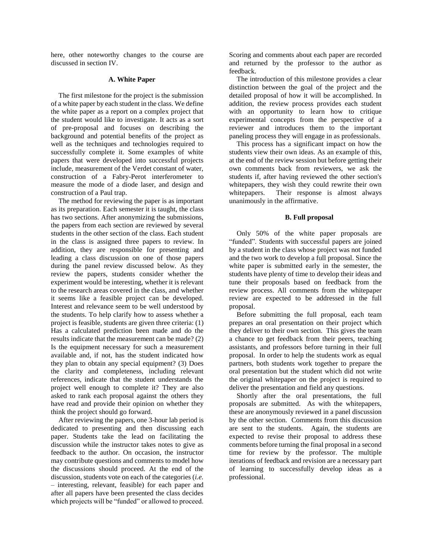here, other noteworthy changes to the course are discussed in section IV.

#### **A. White Paper**

The first milestone for the project is the submission of a white paper by each student in the class. We define the white paper as a report on a complex project that the student would like to investigate. It acts as a sort of pre-proposal and focuses on describing the background and potential benefits of the project as well as the techniques and technologies required to successfully complete it. Some examples of white papers that were developed into successful projects include, measurement of the Verdet constant of water, construction of a Fabry-Perot interferometer to measure the mode of a diode laser, and design and construction of a Paul trap.

The method for reviewing the paper is as important as its preparation. Each semester it is taught, the class has two sections. After anonymizing the submissions, the papers from each section are reviewed by several students in the other section of the class. Each student in the class is assigned three papers to review. In addition, they are responsible for presenting and leading a class discussion on one of those papers during the panel review discussed below. As they review the papers, students consider whether the experiment would be interesting, whether it is relevant to the research areas covered in the class, and whether it seems like a feasible project can be developed. Interest and relevance seem to be well understood by the students. To help clarify how to assess whether a project is feasible, students are given three criteria: (1) Has a calculated prediction been made and do the results indicate that the measurement can be made? (2) Is the equipment necessary for such a measurement available and, if not, has the student indicated how they plan to obtain any special equipment? (3) Does the clarity and completeness, including relevant references, indicate that the student understands the project well enough to complete it? They are also asked to rank each proposal against the others they have read and provide their opinion on whether they think the project should go forward.

After reviewing the papers, one 3-hour lab period is dedicated to presenting and then discussing each paper. Students take the lead on facilitating the discussion while the instructor takes notes to give as feedback to the author. On occasion, the instructor may contribute questions and comments to model how the discussions should proceed. At the end of the discussion, students vote on each of the categories (*i.e.* – interesting, relevant, feasible) for each paper and after all papers have been presented the class decides which projects will be "funded" or allowed to proceed.

Scoring and comments about each paper are recorded and returned by the professor to the author as feedback.

The introduction of this milestone provides a clear distinction between the goal of the project and the detailed proposal of how it will be accomplished. In addition, the review process provides each student with an opportunity to learn how to critique experimental concepts from the perspective of a reviewer and introduces them to the important paneling process they will engage in as professionals.

This process has a significant impact on how the students view their own ideas. As an example of this, at the end of the review session but before getting their own comments back from reviewers, we ask the students if, after having reviewed the other section's whitepapers, they wish they could rewrite their own whitepapers. Their response is almost always unanimously in the affirmative.

# **B. Full proposal**

Only 50% of the white paper proposals are "funded". Students with successful papers are joined by a student in the class whose project was not funded and the two work to develop a full proposal. Since the white paper is submitted early in the semester, the students have plenty of time to develop their ideas and tune their proposals based on feedback from the review process. All comments from the whitepaper review are expected to be addressed in the full proposal.

Before submitting the full proposal, each team prepares an oral presentation on their project which they deliver to their own section. This gives the team a chance to get feedback from their peers, teaching assistants, and professors before turning in their full proposal. In order to help the students work as equal partners, both students work together to prepare the oral presentation but the student which did not write the original whitepaper on the project is required to deliver the presentation and field any questions.

Shortly after the oral presentations, the full proposals are submitted. As with the whitepapers, these are anonymously reviewed in a panel discussion by the other section. Comments from this discussion are sent to the students. Again, the students are expected to revise their proposal to address these comments before turning the final proposal in a second time for review by the professor. The multiple iterations of feedback and revision are a necessary part of learning to successfully develop ideas as a professional.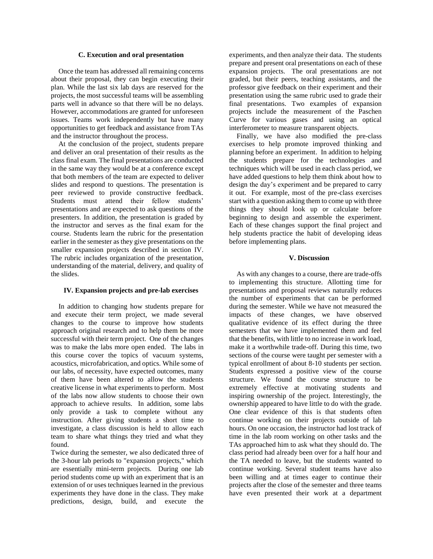# **C. Execution and oral presentation**

Once the team has addressed all remaining concerns about their proposal, they can begin executing their plan. While the last six lab days are reserved for the projects, the most successful teams will be assembling parts well in advance so that there will be no delays. However, accommodations are granted for unforeseen issues. Teams work independently but have many opportunities to get feedback and assistance from TAs and the instructor throughout the process.

At the conclusion of the project, students prepare and deliver an oral presentation of their results as the class final exam. The final presentations are conducted in the same way they would be at a conference except that both members of the team are expected to deliver slides and respond to questions. The presentation is peer reviewed to provide constructive feedback. Students must attend their fellow students' presentations and are expected to ask questions of the presenters. In addition, the presentation is graded by the instructor and serves as the final exam for the course. Students learn the rubric for the presentation earlier in the semester as they give presentations on the smaller expansion projects described in section IV. The rubric includes organization of the presentation, understanding of the material, delivery, and quality of the slides.

# **IV. Expansion projects and pre-lab exercises**

In addition to changing how students prepare for and execute their term project, we made several changes to the course to improve how students approach original research and to help them be more successful with their term project. One of the changes was to make the labs more open ended. The labs in this course cover the topics of vacuum systems, acoustics, microfabrication, and optics. While some of our labs, of necessity, have expected outcomes, many of them have been altered to allow the students creative license in what experiments to perform. Most of the labs now allow students to choose their own approach to achieve results. In addition, some labs only provide a task to complete without any instruction. After giving students a short time to investigate, a class discussion is held to allow each team to share what things they tried and what they found.

Twice during the semester, we also dedicated three of the 3-hour lab periods to "expansion projects," which are essentially mini-term projects. During one lab period students come up with an experiment that is an extension of or uses techniques learned in the previous experiments they have done in the class. They make predictions, design, build, and execute the

experiments, and then analyze their data. The students prepare and present oral presentations on each of these expansion projects. The oral presentations are not graded, but their peers, teaching assistants, and the professor give feedback on their experiment and their presentation using the same rubric used to grade their final presentations. Two examples of expansion projects include the measurement of the Paschen Curve for various gases and using an optical interferometer to measure transparent objects.

Finally, we have also modified the pre-class exercises to help promote improved thinking and planning before an experiment. In addition to helping the students prepare for the technologies and techniques which will be used in each class period, we have added questions to help them think about how to design the day's experiment and be prepared to carry it out. For example, most of the pre-class exercises start with a question asking them to come up with three things they should look up or calculate before beginning to design and assemble the experiment. Each of these changes support the final project and help students practice the habit of developing ideas before implementing plans.

# **V. Discussion**

As with any changes to a course, there are trade-offs to implementing this structure. Allotting time for presentations and proposal reviews naturally reduces the number of experiments that can be performed during the semester. While we have not measured the impacts of these changes, we have observed qualitative evidence of its effect during the three semesters that we have implemented them and feel that the benefits, with little to no increase in work load, make it a worthwhile trade-off. During this time, two sections of the course were taught per semester with a typical enrollment of about 8-10 students per section. Students expressed a positive view of the course structure. We found the course structure to be extremely effective at motivating students and inspiring ownership of the project. Interestingly, the ownership appeared to have little to do with the grade. One clear evidence of this is that students often continue working on their projects outside of lab hours. On one occasion, the instructor had lost track of time in the lab room working on other tasks and the TAs approached him to ask what they should do. The class period had already been over for a half hour and the TA needed to leave, but the students wanted to continue working. Several student teams have also been willing and at times eager to continue their projects after the close of the semester and three teams have even presented their work at a department